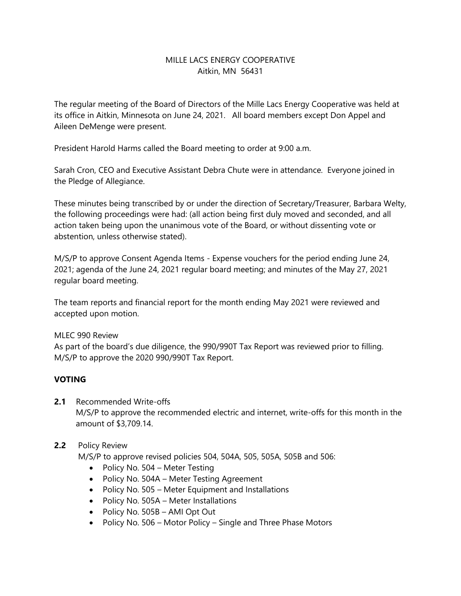# MILLE LACS ENERGY COOPERATIVE Aitkin, MN 56431

The regular meeting of the Board of Directors of the Mille Lacs Energy Cooperative was held at its office in Aitkin, Minnesota on June 24, 2021. All board members except Don Appel and Aileen DeMenge were present.

President Harold Harms called the Board meeting to order at 9:00 a.m.

Sarah Cron, CEO and Executive Assistant Debra Chute were in attendance. Everyone joined in the Pledge of Allegiance.

These minutes being transcribed by or under the direction of Secretary/Treasurer, Barbara Welty, the following proceedings were had: (all action being first duly moved and seconded, and all action taken being upon the unanimous vote of the Board, or without dissenting vote or abstention, unless otherwise stated).

M/S/P to approve Consent Agenda Items - Expense vouchers for the period ending June 24, 2021; agenda of the June 24, 2021 regular board meeting; and minutes of the May 27, 2021 regular board meeting.

The team reports and financial report for the month ending May 2021 were reviewed and accepted upon motion.

### MLEC 990 Review

As part of the board's due diligence, the 990/990T Tax Report was reviewed prior to filling. M/S/P to approve the 2020 990/990T Tax Report.

# **VOTING**

# **2.1** Recommended Write-offs

M/S/P to approve the recommended electric and internet, write-offs for this month in the amount of \$3,709.14.

#### **2.2** Policy Review

M/S/P to approve revised policies 504, 504A, 505, 505A, 505B and 506:

- Policy No. 504 Meter Testing
- Policy No. 504A Meter Testing Agreement
- Policy No. 505 Meter Equipment and Installations
- Policy No. 505A Meter Installations
- Policy No. 505B AMI Opt Out
- Policy No. 506 Motor Policy Single and Three Phase Motors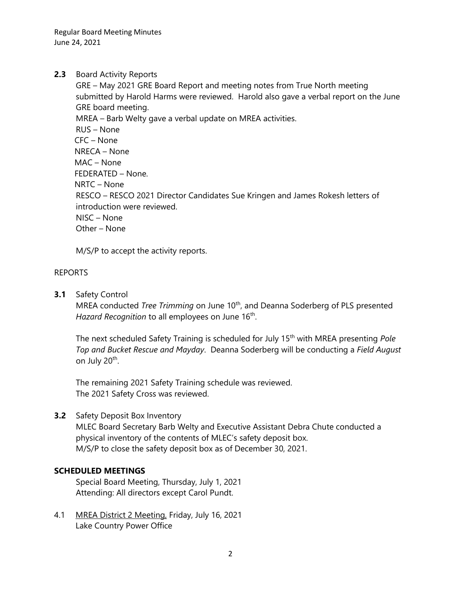Regular Board Meeting Minutes June 24, 2021

## **2.3** Board Activity Reports

GRE – May 2021 GRE Board Report and meeting notes from True North meeting submitted by Harold Harms were reviewed. Harold also gave a verbal report on the June GRE board meeting. MREA – Barb Welty gave a verbal update on MREA activities. RUS – None CFC – None NRECA – None MAC – None FEDERATED – None. NRTC – None RESCO – RESCO 2021 Director Candidates Sue Kringen and James Rokesh letters of introduction were reviewed. NISC – None Other – None

M/S/P to accept the activity reports.

### REPORTS

**3.1** Safety Control

MREA conducted *Tree Trimming* on June 10<sup>th</sup>, and Deanna Soderberg of PLS presented Hazard Recognition to all employees on June 16<sup>th</sup>.

The next scheduled Safety Training is scheduled for July 15<sup>th</sup> with MREA presenting *Pole Top and Bucket Rescue and Mayday*. Deanna Soderberg will be conducting a *Field August* on July 20<sup>th</sup>.

The remaining 2021 Safety Training schedule was reviewed. The 2021 Safety Cross was reviewed.

# **3.2** Safety Deposit Box Inventory

MLEC Board Secretary Barb Welty and Executive Assistant Debra Chute conducted a physical inventory of the contents of MLEC's safety deposit box. M/S/P to close the safety deposit box as of December 30, 2021.

### **SCHEDULED MEETINGS**

Special Board Meeting, Thursday, July 1, 2021 Attending: All directors except Carol Pundt.

4.1 MREA District 2 Meeting, Friday, July 16, 2021 Lake Country Power Office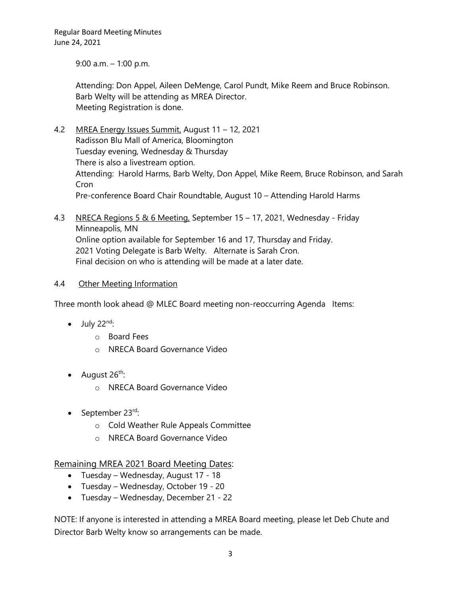Regular Board Meeting Minutes June 24, 2021

9:00 a.m. – 1:00 p.m.

Attending: Don Appel, Aileen DeMenge, Carol Pundt, Mike Reem and Bruce Robinson. Barb Welty will be attending as MREA Director. Meeting Registration is done.

- 4.2 MREA Energy Issues Summit, August 11 12, 2021 Radisson Blu Mall of America, Bloomington Tuesday evening, Wednesday & Thursday There is also a livestream option. Attending: Harold Harms, Barb Welty, Don Appel, Mike Reem, Bruce Robinson, and Sarah Cron Pre-conference Board Chair Roundtable, August 10 – Attending Harold Harms
- 4.3 NRECA Regions 5 & 6 Meeting, September 15 17, 2021, Wednesday Friday Minneapolis, MN Online option available for September 16 and 17, Thursday and Friday. 2021 Voting Delegate is Barb Welty. Alternate is Sarah Cron. Final decision on who is attending will be made at a later date.

### 4.4 Other Meeting Information

Three month look ahead @ MLEC Board meeting non-reoccurring Agenda Items:

- $\bullet$  July 22<sup>nd</sup>:
	- o Board Fees
	- o NRECA Board Governance Video
- August 26<sup>th</sup>:
	- o NRECA Board Governance Video
- September 23rd:
	- o Cold Weather Rule Appeals Committee
	- o NRECA Board Governance Video

Remaining MREA 2021 Board Meeting Dates:

- Tuesday Wednesday, August 17 18
- Tuesday Wednesday, October 19 20
- Tuesday Wednesday, December 21 22

NOTE: If anyone is interested in attending a MREA Board meeting, please let Deb Chute and Director Barb Welty know so arrangements can be made.